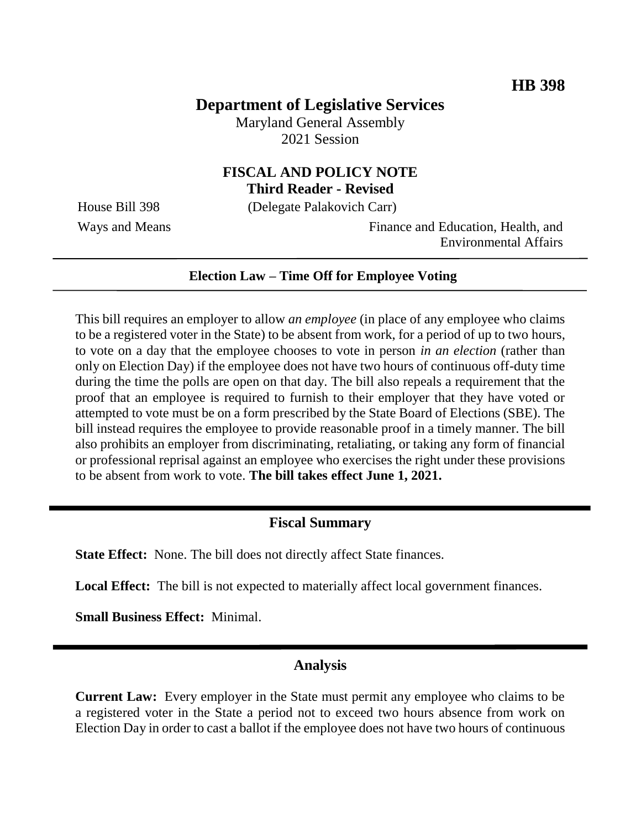# **Department of Legislative Services**

Maryland General Assembly 2021 Session

### **FISCAL AND POLICY NOTE Third Reader - Revised**

House Bill 398 (Delegate Palakovich Carr)

Ways and Means Finance and Education, Health, and Environmental Affairs

#### **Election Law – Time Off for Employee Voting**

This bill requires an employer to allow *an employee* (in place of any employee who claims to be a registered voter in the State) to be absent from work, for a period of up to two hours, to vote on a day that the employee chooses to vote in person *in an election* (rather than only on Election Day) if the employee does not have two hours of continuous off-duty time during the time the polls are open on that day. The bill also repeals a requirement that the proof that an employee is required to furnish to their employer that they have voted or attempted to vote must be on a form prescribed by the State Board of Elections (SBE). The bill instead requires the employee to provide reasonable proof in a timely manner. The bill also prohibits an employer from discriminating, retaliating, or taking any form of financial or professional reprisal against an employee who exercises the right under these provisions to be absent from work to vote. **The bill takes effect June 1, 2021.**

### **Fiscal Summary**

**State Effect:** None. The bill does not directly affect State finances.

Local Effect: The bill is not expected to materially affect local government finances.

**Small Business Effect:** Minimal.

### **Analysis**

**Current Law:** Every employer in the State must permit any employee who claims to be a registered voter in the State a period not to exceed two hours absence from work on Election Day in order to cast a ballot if the employee does not have two hours of continuous